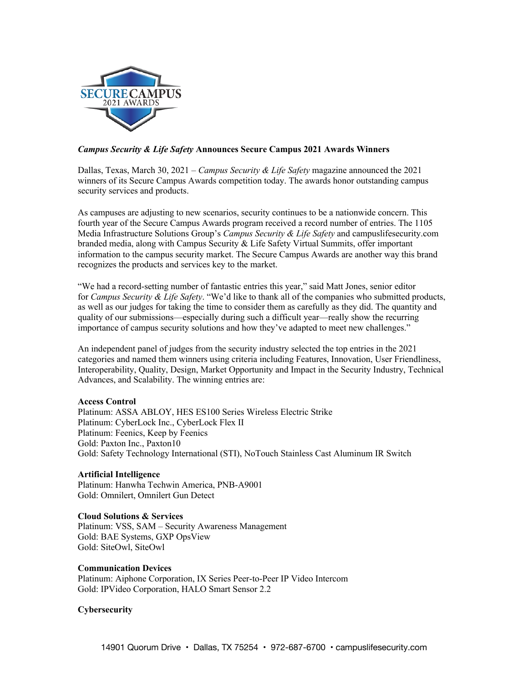

# *Campus Security & Life Safety* **Announces Secure Campus 2021 Awards Winners**

Dallas, Texas, March 30, 2021 – *Campus Security & Life Safety* magazine announced the 2021 winners of its Secure Campus Awards competition today. The awards honor outstanding campus security services and products.

As campuses are adjusting to new scenarios, security continues to be a nationwide concern. This fourth year of the Secure Campus Awards program received a record number of entries. The 1105 Media Infrastructure Solutions Group's *Campus Security & Life Safety* and campuslifesecurity.com branded media, along with Campus Security & Life Safety Virtual Summits, offer important information to the campus security market. The Secure Campus Awards are another way this brand recognizes the products and services key to the market.

"We had a record-setting number of fantastic entries this year," said Matt Jones, senior editor for *Campus Security & Life Safety*. "We'd like to thank all of the companies who submitted products, as well as our judges for taking the time to consider them as carefully as they did. The quantity and quality of our submissions—especially during such a difficult year—really show the recurring importance of campus security solutions and how they've adapted to meet new challenges."

An independent panel of judges from the security industry selected the top entries in the 2021 categories and named them winners using criteria including Features, Innovation, User Friendliness, Interoperability, Quality, Design, Market Opportunity and Impact in the Security Industry, Technical Advances, and Scalability. The winning entries are:

## **Access Control**

Platinum: ASSA ABLOY, HES ES100 Series Wireless Electric Strike Platinum: CyberLock Inc., CyberLock Flex II Platinum: Feenics, Keep by Feenics Gold: Paxton Inc., Paxton10 Gold: Safety Technology International (STI), NoTouch Stainless Cast Aluminum IR Switch

# **Artificial Intelligence**

Platinum: Hanwha Techwin America, PNB-A9001 Gold: Omnilert, Omnilert Gun Detect

## **Cloud Solutions & Services**

Platinum: VSS, SAM – Security Awareness Management Gold: BAE Systems, GXP OpsView Gold: SiteOwl, SiteOwl

**Communication Devices**

Platinum: Aiphone Corporation, IX Series Peer-to-Peer IP Video Intercom Gold: IPVideo Corporation, HALO Smart Sensor 2.2

# **Cybersecurity**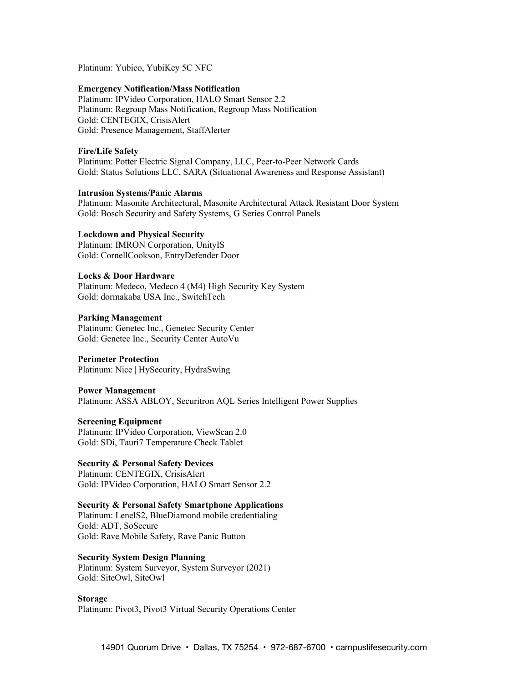Platinum: Yubico, YubiKey 5C NFC

#### **Emergency Notification/Mass Notification**

Platinum: IPVideo Corporation, HALO Smart Sensor 2.2 Platinum: Regroup Mass Notification, Regroup Mass Notification Gold: CENTEGIX, CrisisAlert Gold: Presence Management, StaffAlerter

## **Fire/Life Safety**

Platinum: Potter Electric Signal Company, LLC, Peer-to-Peer Network Cards Gold: Status Solutions LLC, SARA (Situational Awareness and Response Assistant)

## **Intrusion Systems/Panic Alarms**

Platinum: Masonite Architectural, Masonite Architectural Attack Resistant Door System Gold: Bosch Security and Safety Systems, G Series Control Panels

## **Lockdown and Physical Security**

Platinum: IMRON Corporation, UnityIS Gold: CornellCookson, EntryDefender Door

## **Locks & Door Hardware**

Platinum: Medeco, Medeco 4 (M4) High Security Key System Gold: dormakaba USA Inc., SwitchTech

## **Parking Management**

Platinum: Genetec Inc., Genetec Security Center Gold: Genetec Inc., Security Center AutoVu

#### **Perimeter Protection**

Platinum: Nice | HySecurity, HydraSwing

#### **Power Management**

Platinum: ASSA ABLOY, Securitron AQL Series Intelligent Power Supplies

## **Screening Equipment**

Platinum: IPVideo Corporation, ViewScan 2.0 Gold: SDi, Tauri7 Temperature Check Tablet

#### **Security & Personal Safety Devices**

Platinum: CENTEGIX, CrisisAlert Gold: IPVideo Corporation, HALO Smart Sensor 2.2

## **Security & Personal Safety Smartphone Applications**

Platinum: LenelS2, BlueDiamond mobile credentialing Gold: ADT, SoSecure Gold: Rave Mobile Safety, Rave Panic Button

# **Security System Design Planning**

Platinum: System Surveyor, System Surveyor (2021) Gold: SiteOwl, SiteOwl

**Storage** Platinum: Pivot3, Pivot3 Virtual Security Operations Center